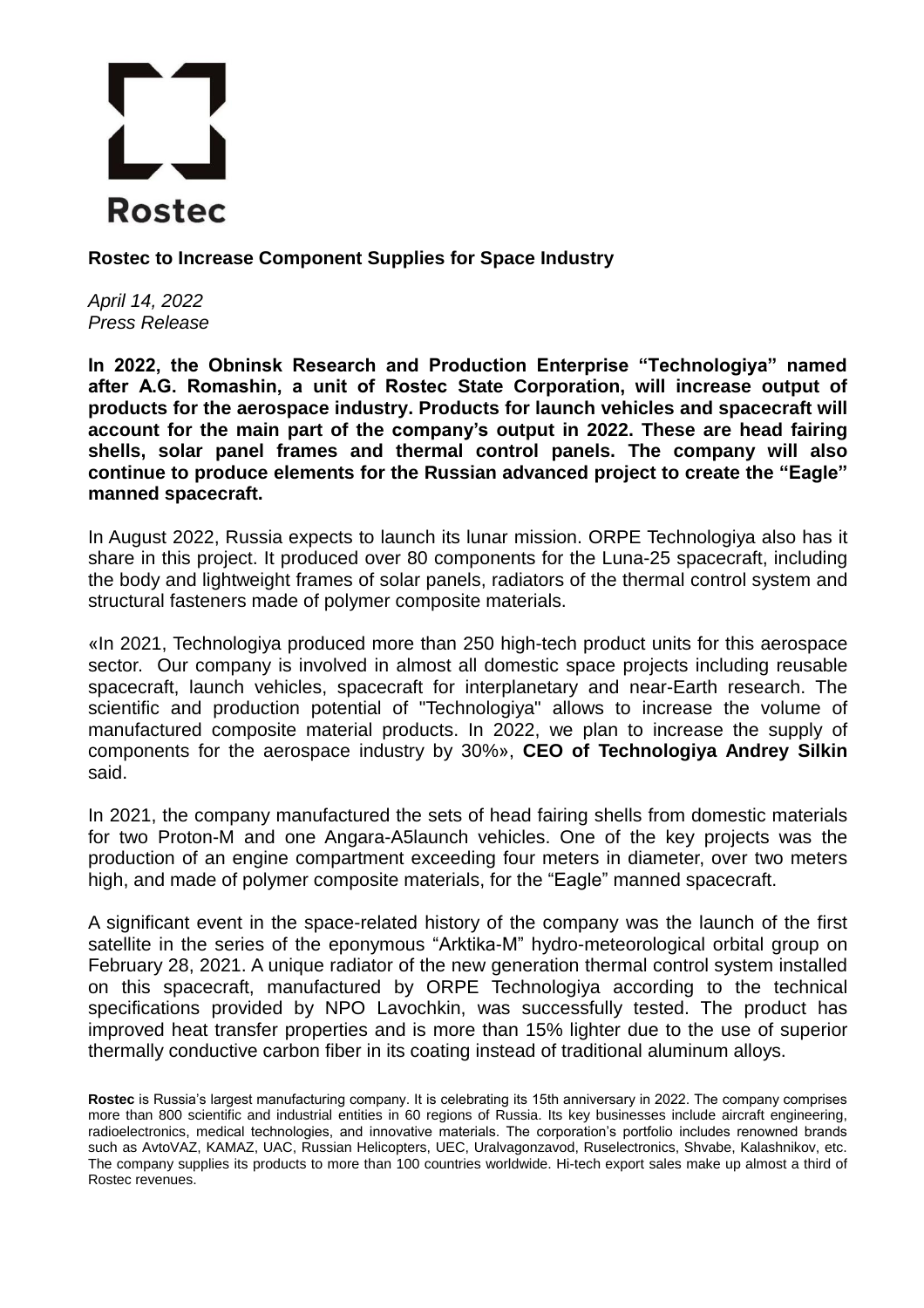## **Rostec**

**Rostec to Increase Component Supplies for Space Industry**

*April 14, 2022 Press Release*

**In 2022, the Obninsk Research and Production Enterprise "Technologiya" named after A.G. Romashin, a unit of Rosteс State Corporation, will increase output of products for the aerospace industry. Products for launch vehicles and spacecraft will account for the main part of the company's output in 2022. These are head fairing shells, solar panel frames and thermal control panels. The company will also continue to produce elements for the Russian advanced project to create the "Eagle" manned spacecraft.**

In August 2022, Russia expects to launch its lunar mission. ORPE Technologiya also has it share in this project. It produced over 80 components for the Luna-25 spacecraft, including the body and lightweight frames of solar panels, radiators of the thermal control system and structural fasteners made of polymer composite materials.

«In 2021, Technologiya produced more than 250 high-tech product units for this aerospace sector. Our company is involved in almost all domestic space projects including reusable spacecraft, launch vehicles, spacecraft for interplanetary and near-Earth research. The scientific and production potential of "Technologiya" allows to increase the volume of manufactured composite material products. In 2022, we plan to increase the supply of components for the aerospace industry by 30%», **CEO of Technologiya Andrey Silkin** said.

In 2021, the company manufactured the sets of head fairing shells from domestic materials for two Proton-M and one Angara-A5launch vehicles. One of the key projects was the production of an engine compartment exceeding four meters in diameter, over two meters high, and made of polymer composite materials, for the "Eagle" manned spacecraft.

A significant event in the space-related history of the company was the launch of the first satellite in the series of the eponymous "Arktika-M" hydro-meteorological orbital group on February 28, 2021. A unique radiator of the new generation thermal control system installed on this spacecraft, manufactured by ORPE Technologiya according to the technical specifications provided by NPO Lavochkin, was successfully tested. The product has improved heat transfer properties and is more than 15% lighter due to the use of superior thermally conductive carbon fiber in its coating instead of traditional aluminum alloys.

**Rostec** is Russia's largest manufacturing company. It is celebrating its 15th anniversary in 2022. The company comprises more than 800 scientific and industrial entities in 60 regions of Russia. Its key businesses include aircraft engineering, radioelectronics, medical technologies, and innovative materials. The corporation's portfolio includes renowned brands such as AvtoVAZ, KAMAZ, UAC, Russian Helicopters, UEC, Uralvagonzavod, Ruselectronics, Shvabe, Kalashnikov, etc. The company supplies its products to more than 100 countries worldwide. Hi-tech export sales make up almost a third of Rostec revenues.